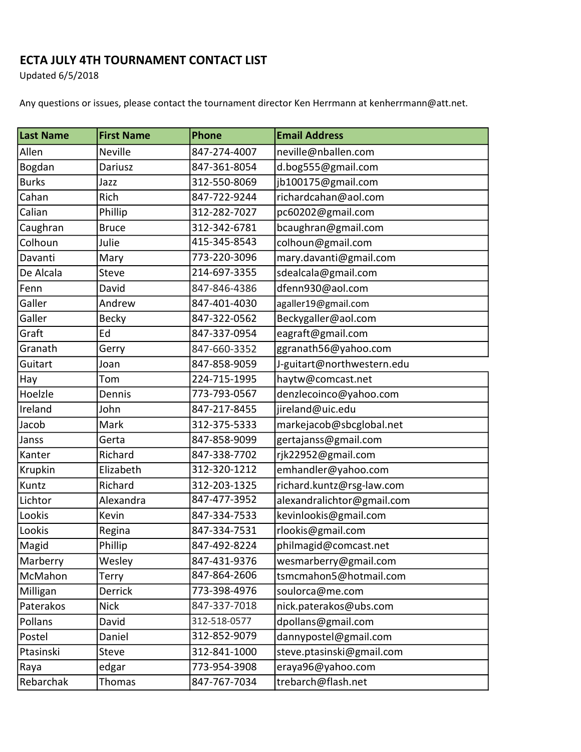## ECTA JULY 4TH TOURNAMENT CONTACT LIST

Updated 6/5/2018

Any questions or issues, please contact the tournament director Ken Herrmann at kenherrmann@att.net.

| Last Name    | <b>First Name</b> | Phone        | <b>Email Address</b>       |
|--------------|-------------------|--------------|----------------------------|
| Allen        | <b>Neville</b>    | 847-274-4007 | neville@nballen.com        |
| Bogdan       | Dariusz           | 847-361-8054 | d.bog555@gmail.com         |
| <b>Burks</b> | Jazz              | 312-550-8069 | jb100175@gmail.com         |
| Cahan        | Rich              | 847-722-9244 | richardcahan@aol.com       |
| Calian       | Phillip           | 312-282-7027 | pc60202@gmail.com          |
| Caughran     | <b>Bruce</b>      | 312-342-6781 | bcaughran@gmail.com        |
| Colhoun      | Julie             | 415-345-8543 | colhoun@gmail.com          |
| Davanti      | Mary              | 773-220-3096 | mary.davanti@gmail.com     |
| De Alcala    | Steve             | 214-697-3355 | sdealcala@gmail.com        |
| Fenn         | David             | 847-846-4386 | dfenn930@aol.com           |
| Galler       | Andrew            | 847-401-4030 | agaller19@gmail.com        |
| Galler       | <b>Becky</b>      | 847-322-0562 | Beckygaller@aol.com        |
| Graft        | Ed                | 847-337-0954 | eagraft@gmail.com          |
| Granath      | Gerry             | 847-660-3352 | ggranath56@yahoo.com       |
| Guitart      | Joan              | 847-858-9059 | J-guitart@northwestern.edu |
| Hay          | Tom               | 224-715-1995 | haytw@comcast.net          |
| Hoelzle      | Dennis            | 773-793-0567 | denzlecoinco@yahoo.com     |
| Ireland      | John              | 847-217-8455 | jireland@uic.edu           |
| Jacob        | Mark              | 312-375-5333 | markejacob@sbcglobal.net   |
| Janss        | Gerta             | 847-858-9099 | gertajanss@gmail.com       |
| Kanter       | Richard           | 847-338-7702 | rjk22952@gmail.com         |
| Krupkin      | Elizabeth         | 312-320-1212 | emhandler@yahoo.com        |
| Kuntz        | Richard           | 312-203-1325 | richard.kuntz@rsg-law.com  |
| Lichtor      | Alexandra         | 847-477-3952 | alexandralichtor@gmail.com |
| Lookis       | Kevin             | 847-334-7533 | kevinlookis@gmail.com      |
| Lookis       | Regina            | 847-334-7531 | rlookis@gmail.com          |
| Magid        | Phillip           | 847-492-8224 | philmagid@comcast.net      |
| Marberry     | Wesley            | 847-431-9376 | wesmarberry@gmail.com      |
| McMahon      | Terry             | 847-864-2606 | tsmcmahon5@hotmail.com     |
| Milligan     | <b>Derrick</b>    | 773-398-4976 | soulorca@me.com            |
| Paterakos    | <b>Nick</b>       | 847-337-7018 | nick.paterakos@ubs.com     |
| Pollans      | David             | 312-518-0577 | dpollans@gmail.com         |
| Postel       | Daniel            | 312-852-9079 | dannypostel@gmail.com      |
| Ptasinski    | Steve             | 312-841-1000 | steve.ptasinski@gmail.com  |
| Raya         | edgar             | 773-954-3908 | eraya96@yahoo.com          |
| Rebarchak    | Thomas            | 847-767-7034 | trebarch@flash.net         |